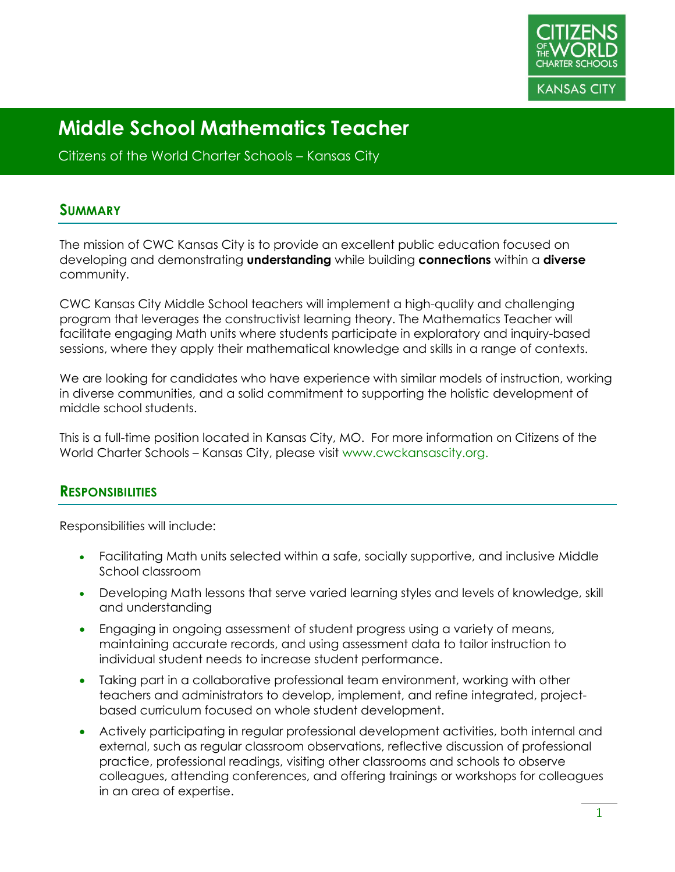

Citizens of the World Charter Schools – Kansas City

#### **SUMMARY**

The mission of CWC Kansas City is to provide an excellent public education focused on developing and demonstrating **understanding** while building **connections** within a **diverse** community.

CWC Kansas City Middle School teachers will implement a high-quality and challenging program that leverages the constructivist learning theory. The Mathematics Teacher will facilitate engaging Math units where students participate in exploratory and inquiry-based sessions, where they apply their mathematical knowledge and skills in a range of contexts.

We are looking for candidates who have experience with similar models of instruction, working in diverse communities, and a solid commitment to supporting the holistic development of middle school students.

This is a full-time position located in Kansas City, MO. For more information on Citizens of the World Charter Schools – Kansas City, please visit www.cwckansascity.org.

#### **RESPONSIBILITIES**

Responsibilities will include:

- Facilitating Math units selected within a safe, socially supportive, and inclusive Middle School classroom
- Developing Math lessons that serve varied learning styles and levels of knowledge, skill and understanding
- Engaging in ongoing assessment of student progress using a variety of means, maintaining accurate records, and using assessment data to tailor instruction to individual student needs to increase student performance.
- Taking part in a collaborative professional team environment, working with other teachers and administrators to develop, implement, and refine integrated, projectbased curriculum focused on whole student development.
- Actively participating in regular professional development activities, both internal and external, such as regular classroom observations, reflective discussion of professional practice, professional readings, visiting other classrooms and schools to observe colleagues, attending conferences, and offering trainings or workshops for colleagues in an area of expertise.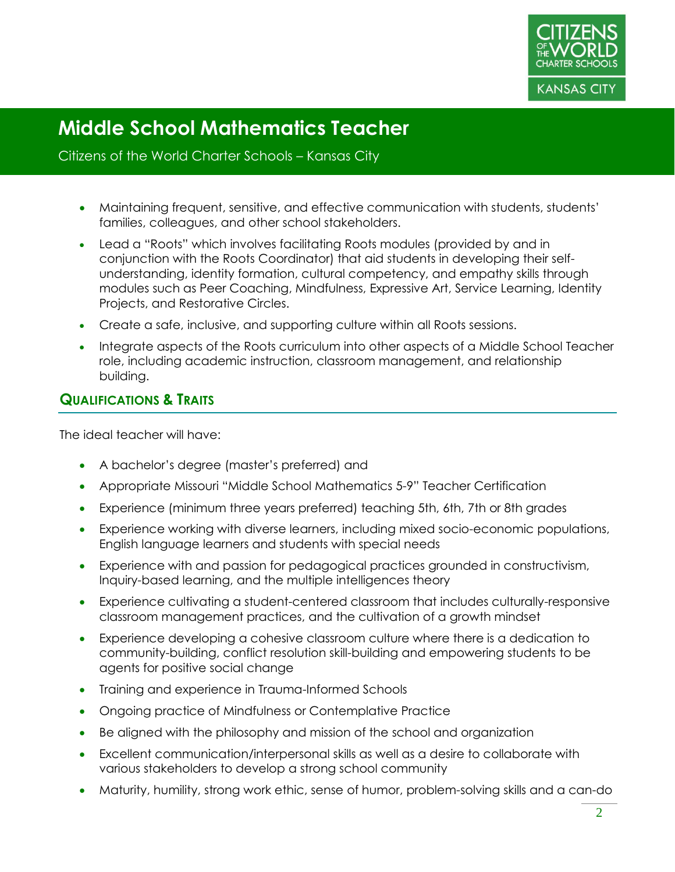

#### Citizens of the World Charter Schools – Kansas City

- Maintaining frequent, sensitive, and effective communication with students, students' families, colleagues, and other school stakeholders.
- Lead a "Roots" which involves facilitating Roots modules (provided by and in conjunction with the Roots Coordinator) that aid students in developing their selfunderstanding, identity formation, cultural competency, and empathy skills through modules such as Peer Coaching, Mindfulness, Expressive Art, Service Learning, Identity Projects, and Restorative Circles.
- Create a safe, inclusive, and supporting culture within all Roots sessions.
- Integrate aspects of the Roots curriculum into other aspects of a Middle School Teacher role, including academic instruction, classroom management, and relationship building.

## **QUALIFICATIONS & TRAITS**

The ideal teacher will have:

- A bachelor's degree (master's preferred) and
- Appropriate Missouri "Middle School Mathematics 5-9" Teacher Certification
- Experience (minimum three years preferred) teaching 5th, 6th, 7th or 8th grades
- Experience working with diverse learners, including mixed socio-economic populations, English language learners and students with special needs
- Experience with and passion for pedagogical practices grounded in constructivism, Inquiry-based learning, and the multiple intelligences theory
- Experience cultivating a student-centered classroom that includes culturally-responsive classroom management practices, and the cultivation of a growth mindset
- Experience developing a cohesive classroom culture where there is a dedication to community-building, conflict resolution skill-building and empowering students to be agents for positive social change
- Training and experience in Trauma-Informed Schools
- Ongoing practice of Mindfulness or Contemplative Practice
- Be aligned with the philosophy and mission of the school and organization
- Excellent communication/interpersonal skills as well as a desire to collaborate with various stakeholders to develop a strong school community
- Maturity, humility, strong work ethic, sense of humor, problem-solving skills and a can-do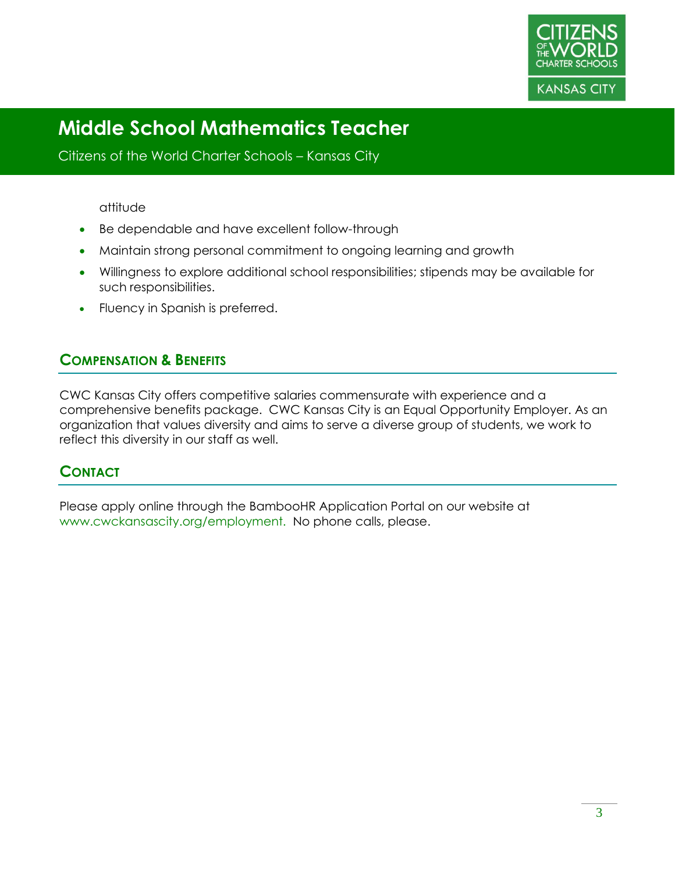

Citizens of the World Charter Schools – Kansas City

#### attitude

- Be dependable and have excellent follow-through
- Maintain strong personal commitment to ongoing learning and growth
- Willingness to explore additional school responsibilities; stipends may be available for such responsibilities.
- Fluency in Spanish is preferred.

## **COMPENSATION & BENEFITS**

CWC Kansas City offers competitive salaries commensurate with experience and a comprehensive benefits package. CWC Kansas City is an Equal Opportunity Employer. As an organization that values diversity and aims to serve a diverse group of students, we work to reflect this diversity in our staff as well.

## **CONTACT**

Please apply online through the BambooHR Application Portal on our website at www.cwckansascity.org/employment. No phone calls, please.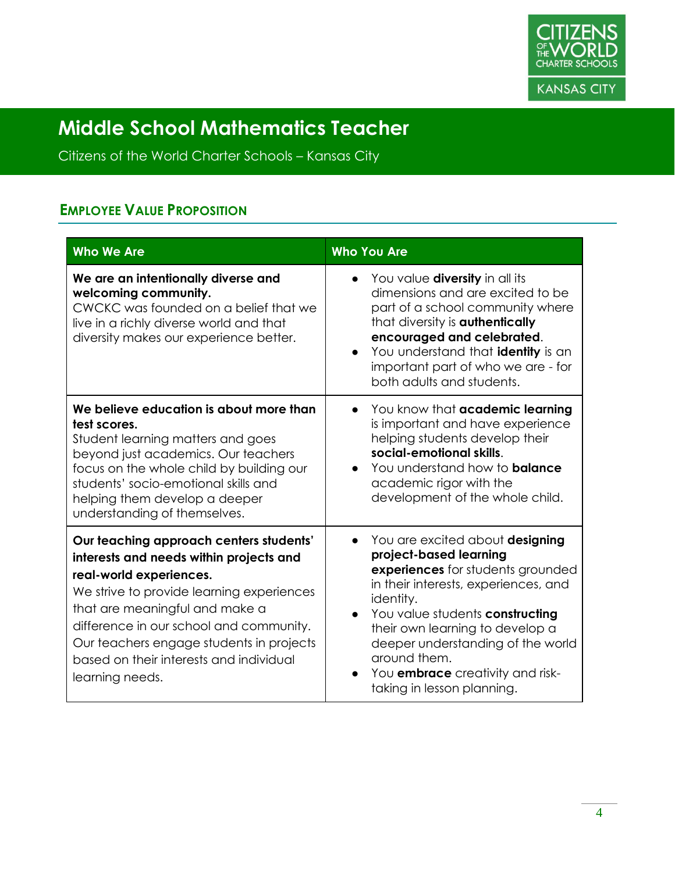

Citizens of the World Charter Schools – Kansas City

## **EMPLOYEE VALUE PROPOSITION**

| <b>Who We Are</b>                                                                                                                                                                                                                                                                                                                                 | <b>Who You Are</b>                                                                                                                                                                                                                                                                                                                                      |
|---------------------------------------------------------------------------------------------------------------------------------------------------------------------------------------------------------------------------------------------------------------------------------------------------------------------------------------------------|---------------------------------------------------------------------------------------------------------------------------------------------------------------------------------------------------------------------------------------------------------------------------------------------------------------------------------------------------------|
| We are an intentionally diverse and<br>welcoming community.<br>CWCKC was founded on a belief that we<br>live in a richly diverse world and that<br>diversity makes our experience better.                                                                                                                                                         | You value <b>diversity</b> in all its<br>dimensions and are excited to be<br>part of a school community where<br>that diversity is <b>authentically</b><br>encouraged and celebrated.<br>You understand that identity is an<br>important part of who we are - for<br>both adults and students.                                                          |
| We believe education is about more than<br>test scores.<br>Student learning matters and goes<br>beyond just academics. Our teachers<br>focus on the whole child by building our<br>students' socio-emotional skills and<br>helping them develop a deeper<br>understanding of themselves.                                                          | You know that academic learning<br>$\bullet$<br>is important and have experience<br>helping students develop their<br>social-emotional skills.<br>You understand how to <b>balance</b><br>$\bullet$<br>academic rigor with the<br>development of the whole child.                                                                                       |
| Our teaching approach centers students'<br>interests and needs within projects and<br>real-world experiences.<br>We strive to provide learning experiences<br>that are meaningful and make a<br>difference in our school and community.<br>Our teachers engage students in projects<br>based on their interests and individual<br>learning needs. | You are excited about designing<br>project-based learning<br>experiences for students grounded<br>in their interests, experiences, and<br>identity.<br>You value students constructing<br>their own learning to develop a<br>deeper understanding of the world<br>around them.<br>You <b>embrace</b> creativity and risk-<br>taking in lesson planning. |